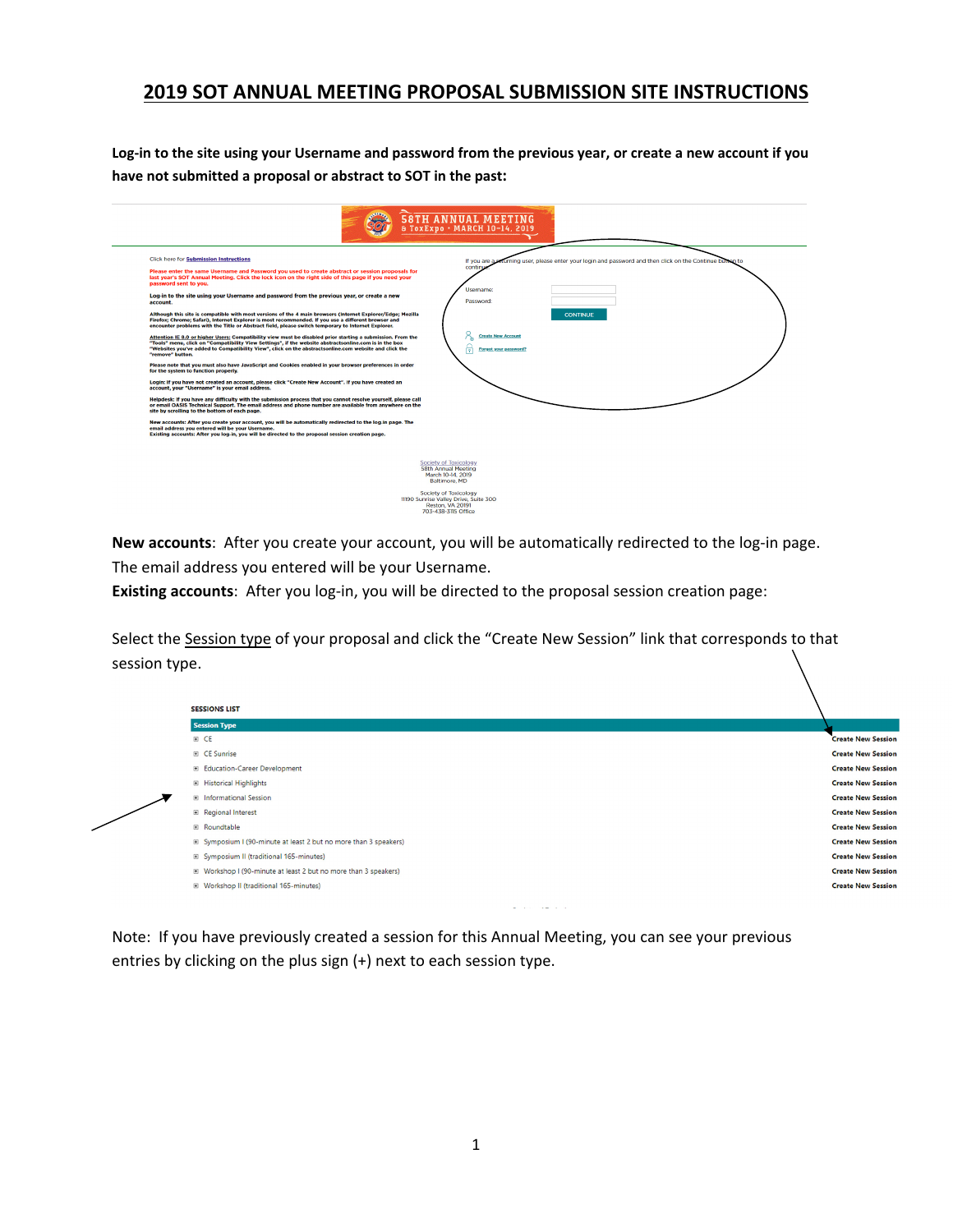## **2019 SOT ANNUAL MEETING PROPOSAL SUBMISSION SITE INSTRUCTIONS**

**Log‐in to the site using your Username and password from the previous year, or create a new account if you have not submitted a proposal or abstract to SOT in the past:** 

|                                                                                                                                                                                                                                                                                                                                                                                                                                                                                                                                                                                                                                                                                                                                                                                                                                                                                                                                                                                                                                                                                                                                                                                                                                                                                                                                                                                                                                                                                                                                                                                                                                                                                                                                                                                                                                                                                                                                                 | <b>58TH ANNUAL MEETING</b><br>8 ToxExpo · MARCH 10-14, 2019                                                                                                                                                                      |
|-------------------------------------------------------------------------------------------------------------------------------------------------------------------------------------------------------------------------------------------------------------------------------------------------------------------------------------------------------------------------------------------------------------------------------------------------------------------------------------------------------------------------------------------------------------------------------------------------------------------------------------------------------------------------------------------------------------------------------------------------------------------------------------------------------------------------------------------------------------------------------------------------------------------------------------------------------------------------------------------------------------------------------------------------------------------------------------------------------------------------------------------------------------------------------------------------------------------------------------------------------------------------------------------------------------------------------------------------------------------------------------------------------------------------------------------------------------------------------------------------------------------------------------------------------------------------------------------------------------------------------------------------------------------------------------------------------------------------------------------------------------------------------------------------------------------------------------------------------------------------------------------------------------------------------------------------|----------------------------------------------------------------------------------------------------------------------------------------------------------------------------------------------------------------------------------|
| <b>Click here for Submission Instructions</b><br>Please enter the same Username and Password you used to create abstract or session proposals for<br>last year's SOT Annual Meeting. Click the lock icon on the right side of this page if you need your<br>password sent to you.<br>Log-in to the site using your Username and password from the previous year, or create a new<br>account.<br>Although this site is compatible with most versions of the 4 main browsers (Internet Explorer/Edge: Mozilla<br>Firefox; Chrome; Safari), Internet Explorer is most recommended. If you use a different browser and<br>encounter problems with the Title or Abstract field, please switch temporary to Internet Explorer.<br>Attention IE 8.0 or higher Users: Compatibility view must be disabled prior starting a submission. From the<br>"Tools" menu, click on "Compatibility View Settings", if the website abstractsonline.com is in the box<br>"Websites you've added to Compatibility View", click on the abstractsonline.com website and click the<br>"remove" button.<br>Please note that you must also have JavaScript and Cookies enabled in your browser preferences in order<br>for the system to function properly.<br>Login: If you have not created an account, please click "Create New Account". If you have created an<br>account, your "Username" is your email address.<br>Helpdesk: If you have any difficulty with the submission process that you cannot resolve yourself, please call<br>or email OASIS Technical Support. The email address and phone number are available from anywhere on the<br>site by scrolling to the bottom of each page.<br>New accounts: After you create your account, you will be automatically redirected to the log-in page. The<br>email address you entered will be your Username.<br>Existing accounts: After you log-in, you will be directed to the proposal session creation page. | If you are a returning user, please enter your login and password and then click on the Continue but<br>an to<br>continu<br>Username:<br>Password:<br><b>CONTINUE</b><br><b>Create New Account</b><br>Forgot your password?<br>╔ |
| Society of Toxicology<br><b>58th Annual Meeting</b><br>March 10-14, 2019<br><b>Baltimore, MD</b><br><b>Society of Toxicology</b><br>11190 Sunrise Valley Drive, Suite 300<br>Reston, VA 20191<br>703-438-3115 Office                                                                                                                                                                                                                                                                                                                                                                                                                                                                                                                                                                                                                                                                                                                                                                                                                                                                                                                                                                                                                                                                                                                                                                                                                                                                                                                                                                                                                                                                                                                                                                                                                                                                                                                            |                                                                                                                                                                                                                                  |

**New accounts**: After you create your account, you will be automatically redirected to the log-in page. The email address you entered will be your Username.

Existing accounts: After you log-in, you will be directed to the proposal session creation page:

Select the Session type of your proposal and click the "Create New Session" link that corresponds to that session type.



Note: If you have previously created a session for this Annual Meeting, you can see your previous entries by clicking on the plus sign (+) next to each session type.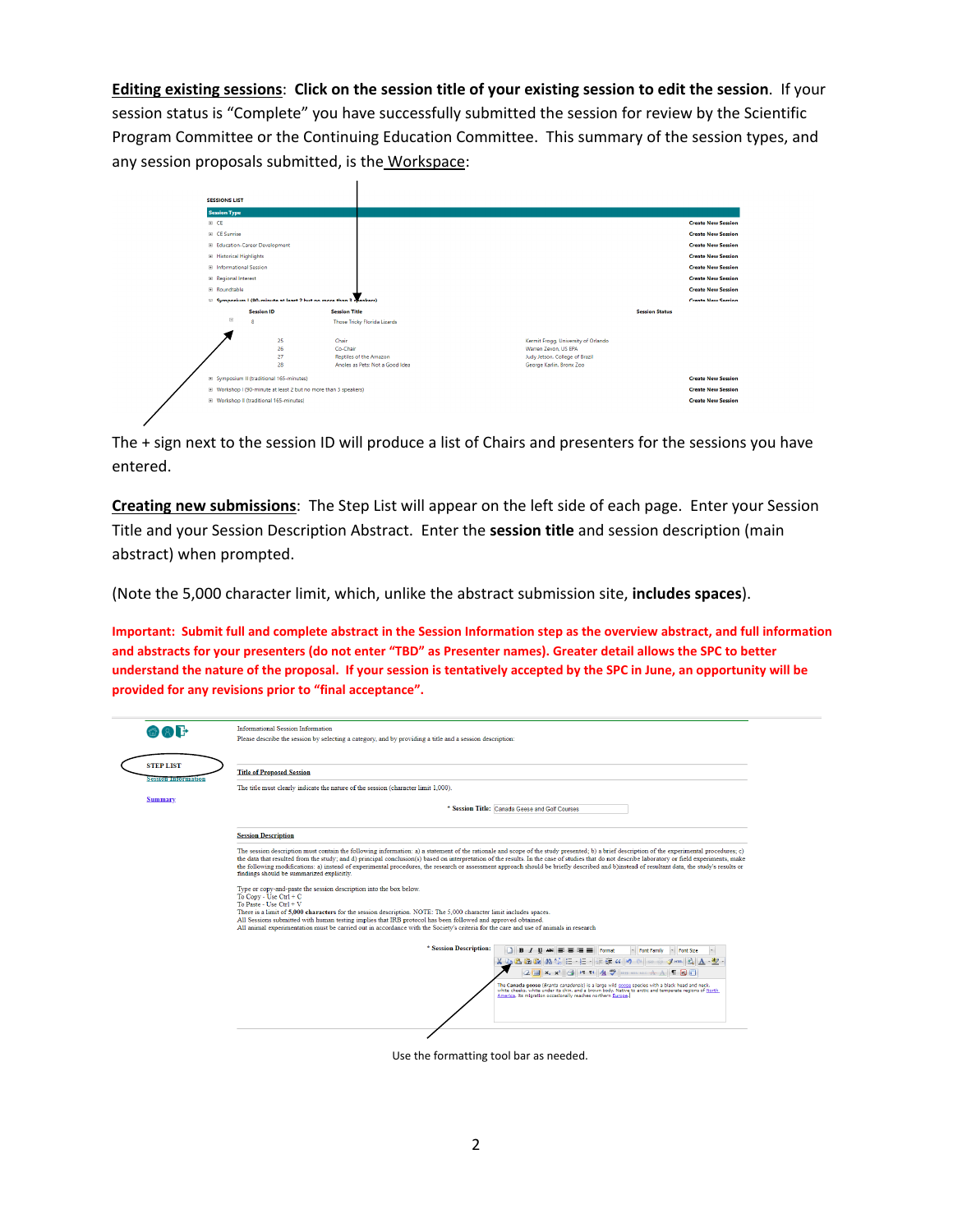**Editing existing sessions**: **Click on the session title of your existing session to edit the session**. If your session status is "Complete" you have successfully submitted the session for review by the Scientific Program Committee or the Continuing Education Committee. This summary of the session types, and any session proposals submitted, is the Workspace:



The + sign next to the session ID will produce a list of Chairs and presenters for the sessions you have entered.

**Creating new submissions**: The Step List will appear on the left side of each page. Enter your Session Title and your Session Description Abstract. Enter the **session title** and session description (main abstract) when prompted.

(Note the 5,000 character limit, which, unlike the abstract submission site, **includes spaces**).

**Important: Submit full and complete abstract in the Session Information step as the overview abstract, and full information and abstracts for your presenters (do not enter "TBD" as Presenter names). Greater detail allows the SPC to better understand the nature of the proposal. If your session is tentatively accepted by the SPC in June, an opportunity will be provided for any revisions prior to "final acceptance".** 

| ි (2) H                    | <b>Informational Session Information</b><br>Please describe the session by selecting a category, and by providing a title and a session description:                                                                                                                                                                                                                                                                                                                                                                                                                                                                                       |
|----------------------------|--------------------------------------------------------------------------------------------------------------------------------------------------------------------------------------------------------------------------------------------------------------------------------------------------------------------------------------------------------------------------------------------------------------------------------------------------------------------------------------------------------------------------------------------------------------------------------------------------------------------------------------------|
| <b>STEP LIST</b>           | <b>Title of Proposed Session</b>                                                                                                                                                                                                                                                                                                                                                                                                                                                                                                                                                                                                           |
| <b>Session Information</b> | The title must clearly indicate the nature of the session (character limit 1,000).                                                                                                                                                                                                                                                                                                                                                                                                                                                                                                                                                         |
| <b>Summary</b>             |                                                                                                                                                                                                                                                                                                                                                                                                                                                                                                                                                                                                                                            |
|                            | * Session Title: Canada Geese and Golf Courses                                                                                                                                                                                                                                                                                                                                                                                                                                                                                                                                                                                             |
|                            | <b>Session Description</b>                                                                                                                                                                                                                                                                                                                                                                                                                                                                                                                                                                                                                 |
|                            | The session description must contain the following information: a) a statement of the rationale and scope of the study presented; b) a brief description of the experimental procedures; c)<br>the data that resulted from the study; and d) principal conclusion(s) based on interpretation of the results. In the case of studies that do not describe laboratory or field experiments, make<br>the following modifications: a) instead of experimental procedures, the research or assessment approach should be briefly described and b)instead of resultant data, the study's results or<br>findings should be summarized explicitly. |
|                            | Type or copy-and-paste the session description into the box below.<br>To Copy - Use Ctrl + C<br>To Paste - Use Ctrl + V                                                                                                                                                                                                                                                                                                                                                                                                                                                                                                                    |
|                            | There is a limit of 5,000 characters for the session description. NOTE: The 5,000 character limit includes spaces.<br>All Sessions submitted with human testing implies that IRB protocol has been followed and approved obtained.<br>All animal experimentation must be carried out in accordance with the Society's criteria for the care and use of animals in research                                                                                                                                                                                                                                                                 |
|                            | * Session Description:<br>$B$ $I$ $U$ $ABC$<br>$= 1$<br>Format<br>* Font Family<br>Font Size                                                                                                                                                                                                                                                                                                                                                                                                                                                                                                                                               |
|                            | 62.44<br>4.8.8.19 14 14 15 15 15                                                                                                                                                                                                                                                                                                                                                                                                                                                                                                                                                                                                           |
|                            | $A \rightarrow$<br>$2 \mathbb{R} \times x$<br>$4433$ $\mu$ $\mu$ $\lambda$ $\lambda$                                                                                                                                                                                                                                                                                                                                                                                                                                                                                                                                                       |
|                            | The Canada goose (Branta canadensis) is a large wild goose species with a black head and neck,<br>white cheeks, white under its chin, and a brown body. Native to arctic and temperate regions of North<br>America, its migration occasionally reaches northern Europe.                                                                                                                                                                                                                                                                                                                                                                    |
|                            |                                                                                                                                                                                                                                                                                                                                                                                                                                                                                                                                                                                                                                            |
|                            |                                                                                                                                                                                                                                                                                                                                                                                                                                                                                                                                                                                                                                            |

Use the formatting tool bar as needed.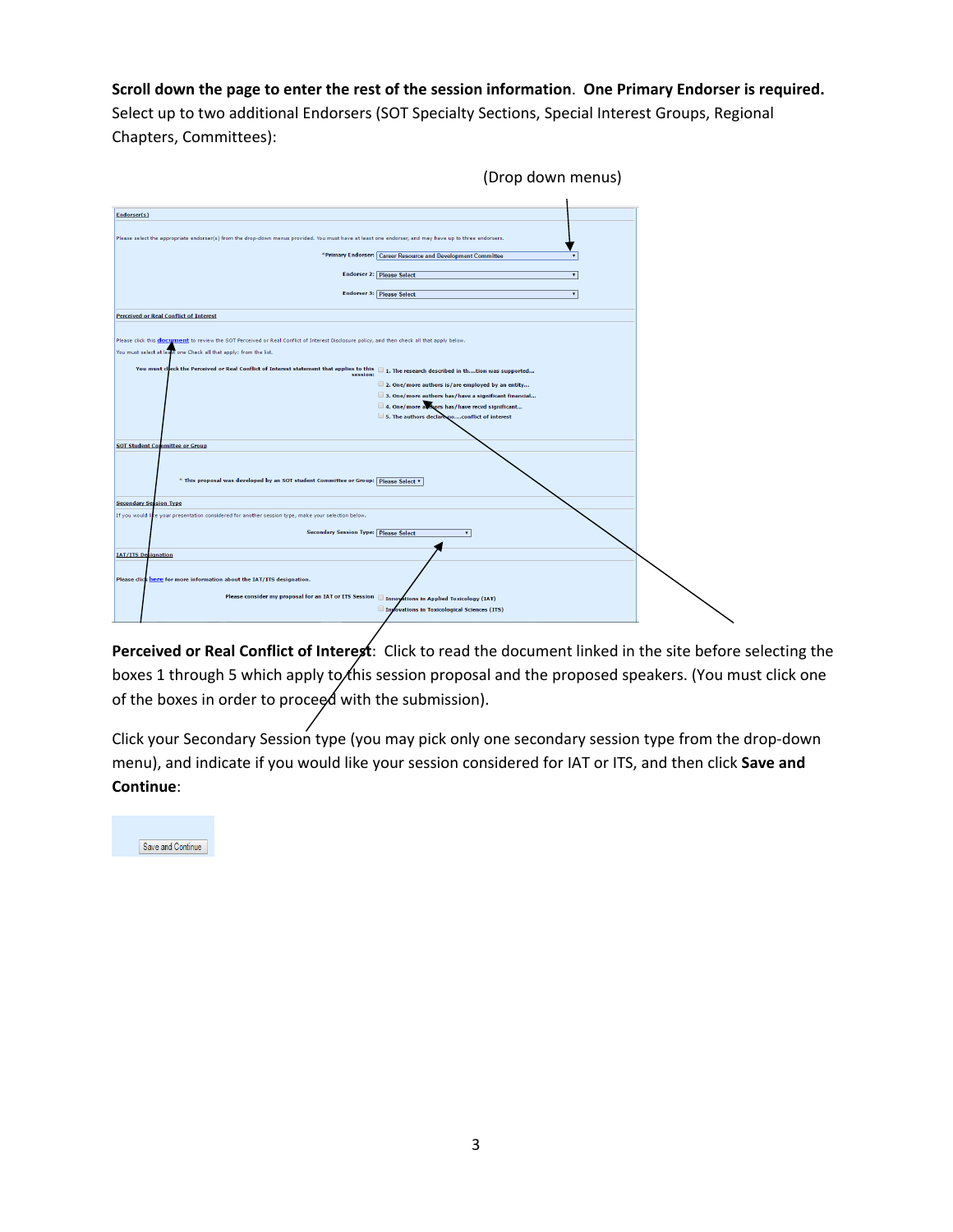## **Scroll down the page to enter the rest of the session information**. **One Primary Endorser is required.**

Select up to two additional Endorsers (SOT Specialty Sections, Special Interest Groups, Regional Chapters, Committees):

| (Drop down menus)                                                                                                                                             |  |
|---------------------------------------------------------------------------------------------------------------------------------------------------------------|--|
|                                                                                                                                                               |  |
| Endorser(s)                                                                                                                                                   |  |
| Please select the appropriate endorser(s) from the drop-down menus provided. You must have at least one endorser, and may have up to three endorsers.         |  |
| *Primary Endorser: Career Resource and Development Committee                                                                                                  |  |
| <b>Endorser 2: Please Select</b>                                                                                                                              |  |
| <b>Endorser 3: Please Select</b>                                                                                                                              |  |
| <b>Perceived or Real Conflict of Interest</b>                                                                                                                 |  |
| Please click this <b>document</b> to review the SOT Perceived or Real Conflict of Interest Disclosure policy, and then check all that apply below.            |  |
| You must select at least one Check all that apply: from the list.                                                                                             |  |
| You must check the Perceived or Real Conflict of Interest statement that applies to this $\Box$ 1. The research described in thtion was supported<br>session: |  |
| 2. One/more authors is/are employed by an entity                                                                                                              |  |
| 3. One/more authors has/have a significant financial                                                                                                          |  |
| 4. One/more authors has/have recvd significant                                                                                                                |  |
| 5. The authors declare noconflict of interest                                                                                                                 |  |
|                                                                                                                                                               |  |
| <b>SOT Student Committee or Group</b>                                                                                                                         |  |
| * This proposal was developed by an SOT student Committee or Group: Please Select v                                                                           |  |
| <b>Secondary Session Type</b>                                                                                                                                 |  |
| e your presentation considered for another session type, make your selection below.<br>If you would li                                                        |  |
| <b>Secondary Session Type: Please Select</b>                                                                                                                  |  |
| <b>IAT/ITS Designation</b>                                                                                                                                    |  |
|                                                                                                                                                               |  |
| Please click here for more information about the IAT/ITS designation.                                                                                         |  |
| Please consider my proposal for an IAT or ITS Session   Innovations in Applied Toxicology (IAT)                                                               |  |
| Inpovations in Toxicological Sciences (ITS)                                                                                                                   |  |
|                                                                                                                                                               |  |

**Perceived or Real Conflict of Interest**: Click to read the document linked in the site before selecting the boxes 1 through 5 which apply to this session proposal and the proposed speakers. (You must click one of the boxes in order to proceed with the submission).

Click your Secondary Session type (you may pick only one secondary session type from the drop‐down menu), and indicate if you would like your session considered for IAT or ITS, and then click **Save and Continue**:

Save and Continue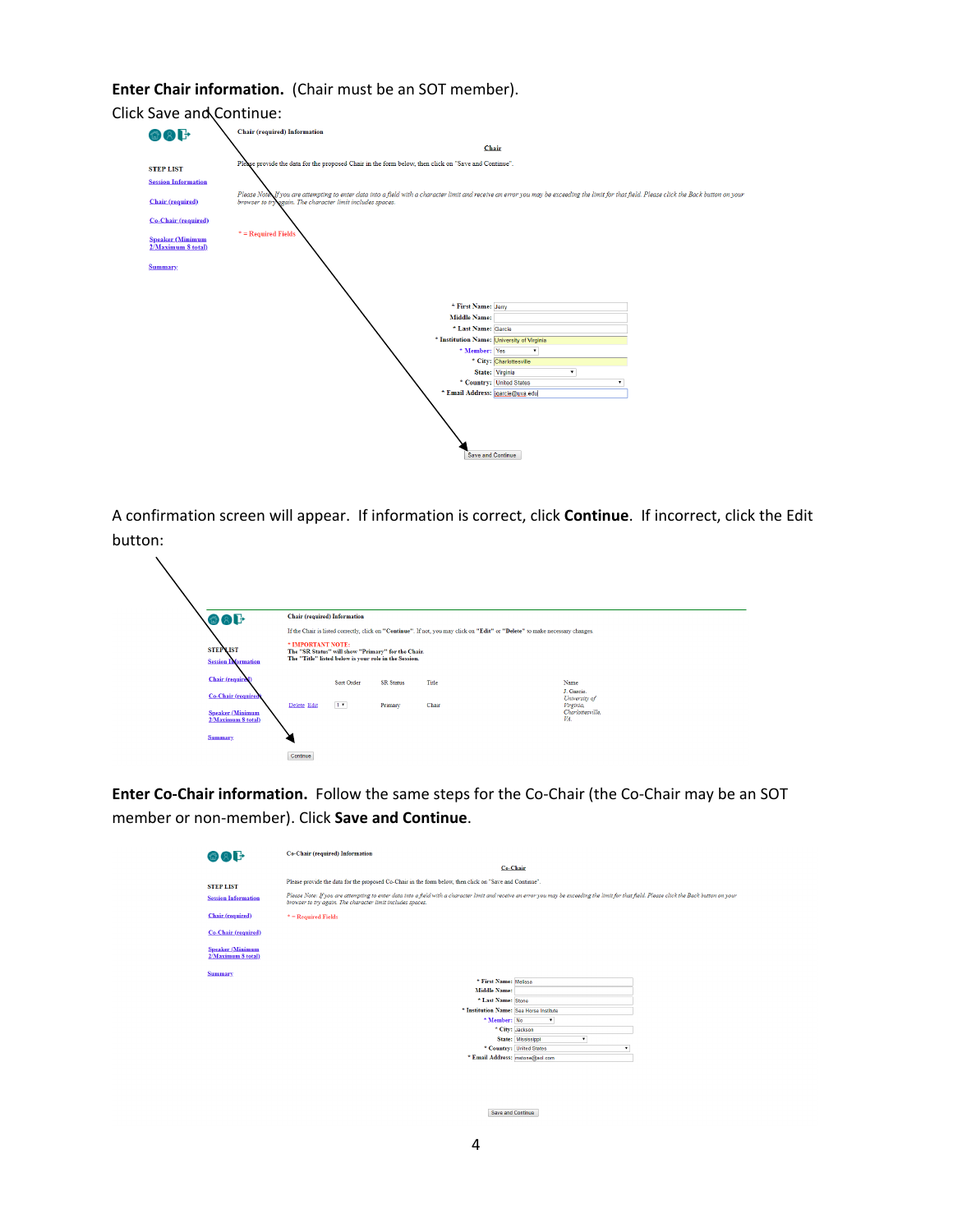## **Enter Chair information.** (Chair must be an SOT member).



A confirmation screen will appear. If information is correct, click **Continue**. If incorrect, click the Edit button:

| 命の上                     |                                               | <b>Chair</b> (required) Information                                                                                              |            |                  |                                                                                                                               |  |                                          |  |
|-------------------------|-----------------------------------------------|----------------------------------------------------------------------------------------------------------------------------------|------------|------------------|-------------------------------------------------------------------------------------------------------------------------------|--|------------------------------------------|--|
|                         |                                               |                                                                                                                                  |            |                  | If the Chair is listed correctly, click on "Continue". If not, you may click on "Edit" or "Delete" to make necessary changes. |  |                                          |  |
| <b>STEP LIST</b>        | <b>Session Information</b>                    | * IMPORTANT NOTE:<br>The "SR Status" will show "Primary" for the Chair.<br>The "Title" listed below is your role in the Session. |            |                  |                                                                                                                               |  |                                          |  |
| <b>Chair</b> (required) |                                               |                                                                                                                                  | Sort Order | <b>SR</b> Status | Title                                                                                                                         |  | Name                                     |  |
|                         | <b>Co-Chair</b> (required                     | Delete Edit                                                                                                                      |            | Primary          | Chair                                                                                                                         |  | J. Garcie.<br>University of<br>Virginia, |  |
|                         | <b>Speaker (Minimum</b><br>2/Maximum 8 total) |                                                                                                                                  | 1.7        |                  |                                                                                                                               |  | Charlottesville,<br>VA.                  |  |
| <b>Summary</b>          |                                               |                                                                                                                                  |            |                  |                                                                                                                               |  |                                          |  |
|                         |                                               | Continue                                                                                                                         |            |                  |                                                                                                                               |  |                                          |  |

Enter Co-Chair information. Follow the same steps for the Co-Chair (the Co-Chair may be an SOT member or non‐member). Click **Save and Continue**.

| 商文子                                           | Co-Chair (required) Information                                                                                                                                                                                                                             |  |  |  |  |  |  |  |
|-----------------------------------------------|-------------------------------------------------------------------------------------------------------------------------------------------------------------------------------------------------------------------------------------------------------------|--|--|--|--|--|--|--|
|                                               | Co-Chair                                                                                                                                                                                                                                                    |  |  |  |  |  |  |  |
| <b>STEP LIST</b>                              | Please provide the data for the proposed Co-Chair in the form below, then click on "Save and Continue".                                                                                                                                                     |  |  |  |  |  |  |  |
| <b>Session Information</b>                    | Please Note: If you are attempting to enter data into a field with a character limit and receive an error you may be exceeding the limit for that field. Please click the Back button on your<br>browser to try again. The character limit includes spaces. |  |  |  |  |  |  |  |
| <b>Chair</b> (required)                       | $*$ = Required Fields                                                                                                                                                                                                                                       |  |  |  |  |  |  |  |
| Co-Chair (required)                           |                                                                                                                                                                                                                                                             |  |  |  |  |  |  |  |
| <b>Speaker (Minimum</b><br>2/Maximum 8 total) |                                                                                                                                                                                                                                                             |  |  |  |  |  |  |  |
| <b>Summary</b>                                |                                                                                                                                                                                                                                                             |  |  |  |  |  |  |  |
|                                               | * First Name: Melissa                                                                                                                                                                                                                                       |  |  |  |  |  |  |  |
|                                               | <b>Middle Name:</b>                                                                                                                                                                                                                                         |  |  |  |  |  |  |  |
|                                               | * Last Name: Stone                                                                                                                                                                                                                                          |  |  |  |  |  |  |  |
|                                               | * Institution Name: Sea Horse Institute                                                                                                                                                                                                                     |  |  |  |  |  |  |  |
|                                               | * Member: No<br>$\mathbf{v}$                                                                                                                                                                                                                                |  |  |  |  |  |  |  |
|                                               | * City: Jackson                                                                                                                                                                                                                                             |  |  |  |  |  |  |  |
|                                               | State: Mississippi                                                                                                                                                                                                                                          |  |  |  |  |  |  |  |
|                                               | * Country: United States<br>٠                                                                                                                                                                                                                               |  |  |  |  |  |  |  |
|                                               | * Email Address: mstone@aol.com                                                                                                                                                                                                                             |  |  |  |  |  |  |  |

Save and Continue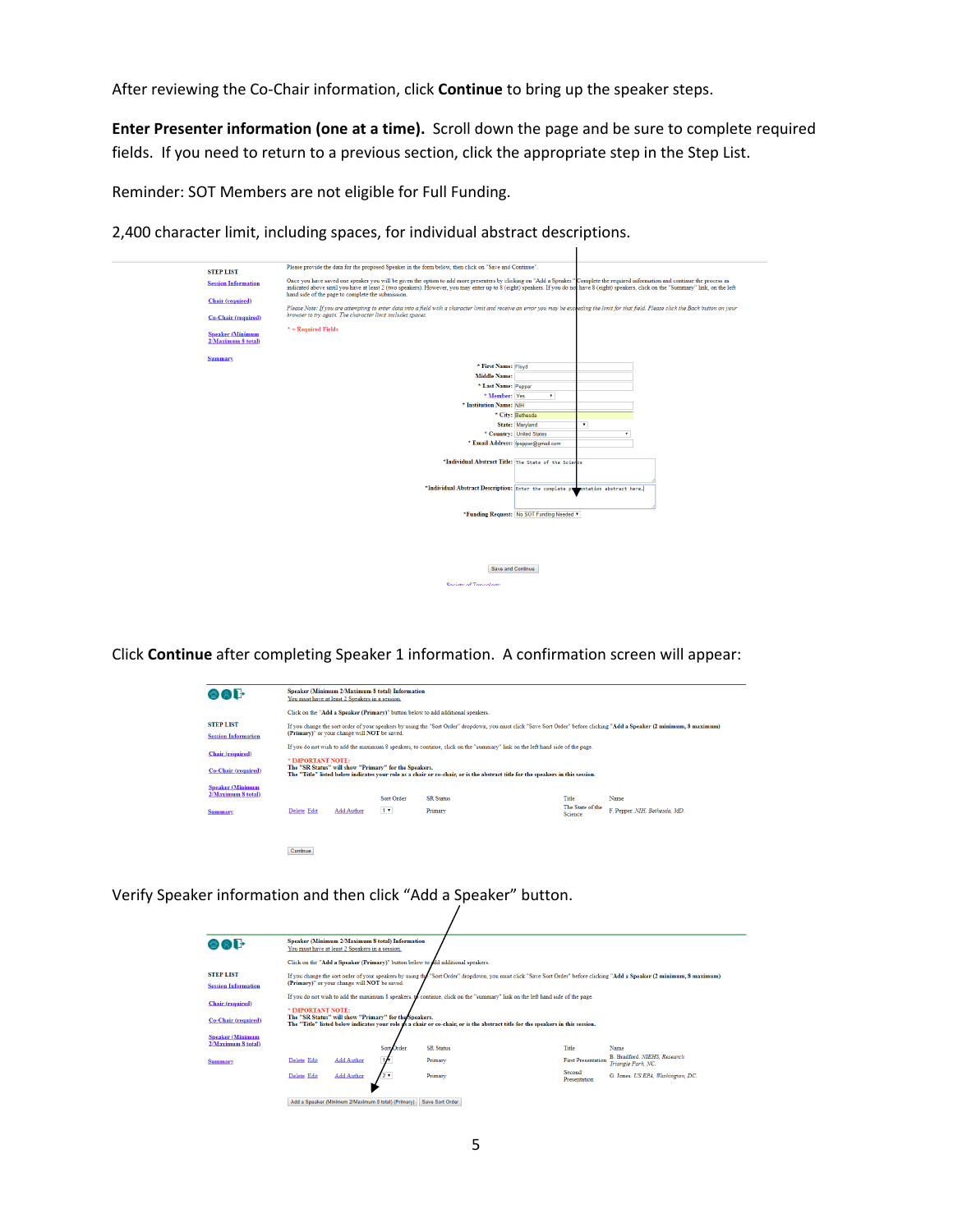After reviewing the Co‐Chair information, click **Continue** to bring up the speaker steps.

**Enter Presenter information (one at a time).** Scroll down the page and be sure to complete required fields. If you need to return to a previous section, click the appropriate step in the Step List.

Reminder: SOT Members are not eligible for Full Funding.

2,400 character limit, including spaces, for individual abstract descriptions.

| <b>STEP LIST</b>                              | Please provide the data for the proposed Speaker in the form below, then click on "Save and Continue".                                                                                                                                                                                                                                                                          |
|-----------------------------------------------|---------------------------------------------------------------------------------------------------------------------------------------------------------------------------------------------------------------------------------------------------------------------------------------------------------------------------------------------------------------------------------|
| <b>Session Information</b>                    | Once you have saved one speaker you will be given the option to add more presenters by clicking on "Add a Speaker." Complete the required information and continue the process as<br>indicated above until you have at least 2 (two speakers). However, you may enter up to 8 (eight) speakers. If you do not have 8 (eight) speakers, click on the "Summary" link, on the left |
| Chair (required)                              | hand side of the page to complete the submission.<br>Please Note: If you are attempting to enter data into a field with a character limit and receive an error you may be exceeding the limit for that field. Please click the Back button on your                                                                                                                              |
| <b>Co-Chair</b> (required)                    | browser to try again. The character limit includes spaces.                                                                                                                                                                                                                                                                                                                      |
| <b>Speaker (Minimum</b><br>2/Maximum 8 total) | $*$ = Required Fields                                                                                                                                                                                                                                                                                                                                                           |
| <b>Summary</b>                                | * First Name: Floyd                                                                                                                                                                                                                                                                                                                                                             |
|                                               | <b>Middle Name:</b>                                                                                                                                                                                                                                                                                                                                                             |
|                                               | * Last Name: Pepper                                                                                                                                                                                                                                                                                                                                                             |
|                                               | * Member: Yes<br>$\bullet$                                                                                                                                                                                                                                                                                                                                                      |
|                                               | * Institution Name: NIH                                                                                                                                                                                                                                                                                                                                                         |
|                                               | * City: Bethesda                                                                                                                                                                                                                                                                                                                                                                |
|                                               | $\bar{\phantom{a}}$<br>State: Maryland                                                                                                                                                                                                                                                                                                                                          |
|                                               | * Country: United States                                                                                                                                                                                                                                                                                                                                                        |
|                                               | * Email Address: fpepper@gmail.com                                                                                                                                                                                                                                                                                                                                              |
|                                               | *Individual Abstract Title: The State of the Science                                                                                                                                                                                                                                                                                                                            |
|                                               |                                                                                                                                                                                                                                                                                                                                                                                 |
|                                               | *Individual Abstract Description: Enter the complete propertation abstract here.                                                                                                                                                                                                                                                                                                |
|                                               | *Funding Request: No SOT Funding Needed *                                                                                                                                                                                                                                                                                                                                       |
|                                               |                                                                                                                                                                                                                                                                                                                                                                                 |
|                                               |                                                                                                                                                                                                                                                                                                                                                                                 |
|                                               | Save and Continue                                                                                                                                                                                                                                                                                                                                                               |
|                                               | Society of Toxicology                                                                                                                                                                                                                                                                                                                                                           |

Click **Continue** after completing Speaker 1 information. A confirmation screen will appear:

| 备用干                                                                             | Speaker (Minimum 2/Maximum 8 total) Information<br>You must have at least 2 Speakers in a session.                                                                                                                       |                   |            |                  |                                    |                               |  |  |
|---------------------------------------------------------------------------------|--------------------------------------------------------------------------------------------------------------------------------------------------------------------------------------------------------------------------|-------------------|------------|------------------|------------------------------------|-------------------------------|--|--|
| Click on the "Add a Speaker (Primary)" button below to add additional speakers. |                                                                                                                                                                                                                          |                   |            |                  |                                    |                               |  |  |
| <b>STEP LIST</b><br><b>Session Information</b>                                  | If you change the sort order of your speakers by using the "Sort Order" dropdown, you must click "Save Sort Order" before clicking "Add a Speaker (2 minimum, 8 maximum)<br>(Primary)" or your change will NOT be saved. |                   |            |                  |                                    |                               |  |  |
|                                                                                 | If you do not wish to add the maximum 8 speakers, to continue, click on the "summary" link on the left hand side of the page.                                                                                            |                   |            |                  |                                    |                               |  |  |
| <b>Chair</b> (required)<br><b>Co-Chair</b> (required)                           | * IMPORTANT NOTE:<br>The "SR Status" will show "Primary" for the Speakers.<br>The "Title" listed below indicates your role as a chair or co-chair, or is the abstract title for the speakers in this session.            |                   |            |                  |                                    |                               |  |  |
| <b>Speaker (Minimum</b><br>2/Maximum 8 total)                                   |                                                                                                                                                                                                                          |                   | Sort Order | <b>SR Status</b> | Title                              | Name                          |  |  |
| <b>Summary</b>                                                                  | Delete Edit                                                                                                                                                                                                              | <b>Add Author</b> | 1.7        | Primary          | The State of the<br><b>Science</b> | F. Pepper, NIH. Bethesda, MD. |  |  |
|                                                                                 |                                                                                                                                                                                                                          |                   |            |                  |                                    |                               |  |  |
|                                                                                 | Continue                                                                                                                                                                                                                 |                   |            |                  |                                    |                               |  |  |

Verify Speaker information and then click "Add a Speaker" button.

| 命文子                                                   |                                                                                                                                                                                                                                                                                                                                                | You must have at least 2 Speakers in a session.     | Speaker (Minimum 2/Maximum 8 total) Information |                                                                                 |  |                                    |                                                            |  |
|-------------------------------------------------------|------------------------------------------------------------------------------------------------------------------------------------------------------------------------------------------------------------------------------------------------------------------------------------------------------------------------------------------------|-----------------------------------------------------|-------------------------------------------------|---------------------------------------------------------------------------------|--|------------------------------------|------------------------------------------------------------|--|
|                                                       |                                                                                                                                                                                                                                                                                                                                                |                                                     |                                                 | Click on the "Add a Speaker (Primary)" button below to add additional speakers. |  |                                    |                                                            |  |
| <b>STEP LIST</b><br><b>Session Information</b>        | If you change the sort order of your speakers by using the "Sort Order" dropdown, you must click "Save Sort Order" before clicking "Add a Speaker (2 minimum, 8 maximum)<br>(Primary)" or your change will NOT be saved.                                                                                                                       |                                                     |                                                 |                                                                                 |  |                                    |                                                            |  |
| <b>Chair</b> (required)<br><b>Co-Chair (required)</b> | If you do not wish to add the maximum 8 speakers, to continue, click on the "summary" link on the left hand side of the page.<br>* IMPORTANT NOTE:<br>The "SR Status" will show "Primary" for the Speakers.<br>The "Title" listed below indicates your role as a chair or co-chair, or is the abstract title for the speakers in this session. |                                                     |                                                 |                                                                                 |  |                                    |                                                            |  |
| <b>Speaker (Minimum</b><br>2/Maximum 8 total)         |                                                                                                                                                                                                                                                                                                                                                |                                                     |                                                 |                                                                                 |  |                                    |                                                            |  |
| <b>Summary</b>                                        | Delete Edit                                                                                                                                                                                                                                                                                                                                    | <b>Add Author</b>                                   | Sort Order                                      | <b>SR Status</b><br>Primary                                                     |  | Title<br><b>First Presentation</b> | Name<br>B. Bradford, NIEHS, Research<br>Triangle Park, NC. |  |
|                                                       | Delete Edit                                                                                                                                                                                                                                                                                                                                    | <b>Add Author</b>                                   |                                                 | Primary                                                                         |  | Second<br>Presentation             | G. Jones, US EPA. Washington, DC.                          |  |
|                                                       |                                                                                                                                                                                                                                                                                                                                                | Add a Speaker (Minimum 2/Maximum 8 total) (Primary) |                                                 | Save Sort Order                                                                 |  |                                    |                                                            |  |